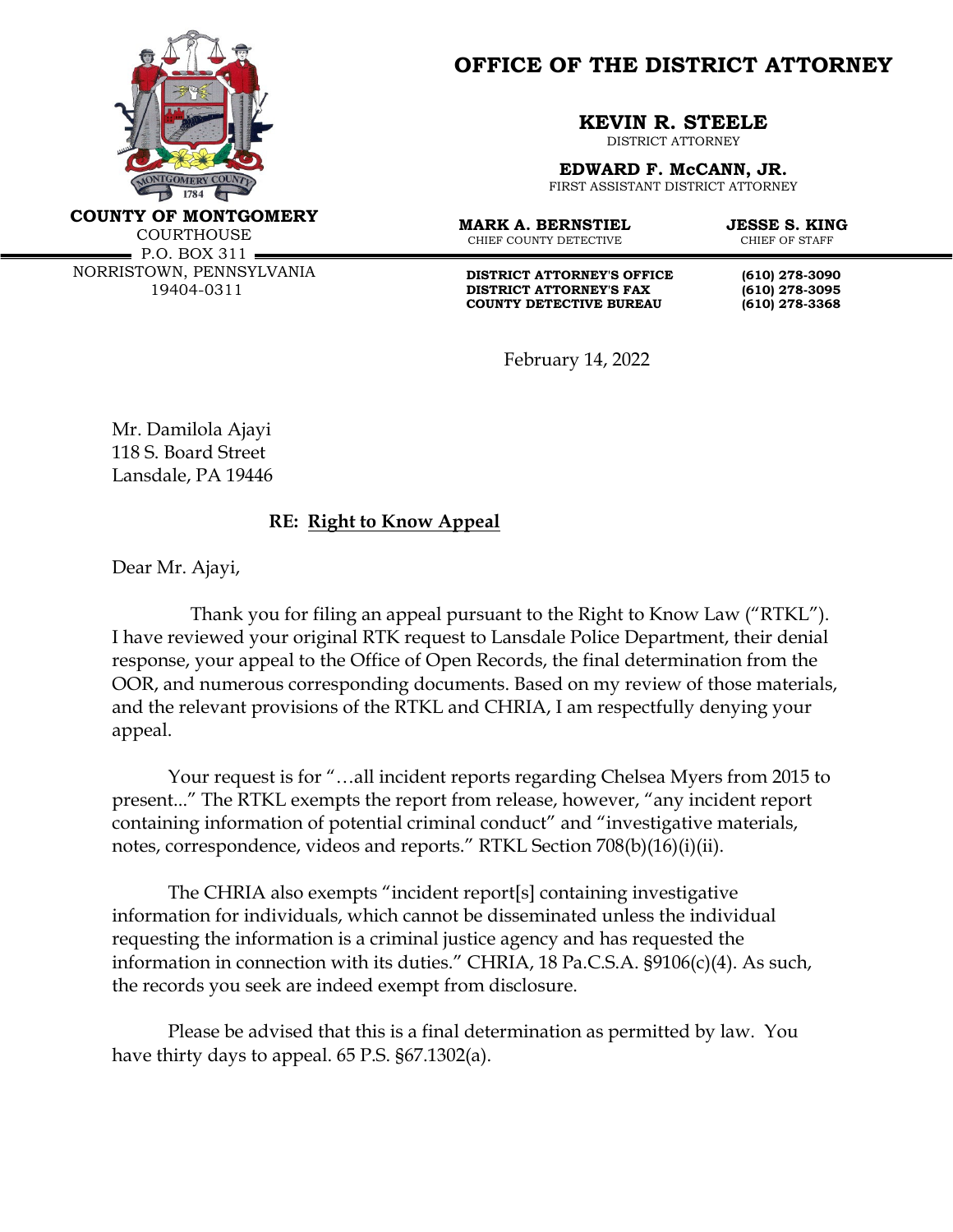

**OFFICE OF THE DISTRICT ATTORNEY**

**KEVIN R. STEELE**

DISTRICT ATTORNEY

**EDWARD F. McCANN, JR.** FIRST ASSISTANT DISTRICT ATTORNEY

**COUNTY OF MONTGOMERY** COURTHOUSE

 $\blacksquare$  P.O. BOX 311  $\blacksquare$ NORRISTOWN, PENNSYLVANIA 19404-0311

**MARK A. BERNSTIEL JESSE S. KING**<br>CHIEF COUNTY DETECTIVE CHIEF OF STAFF CHIEF COUNTY DETECTIVE

**DISTRICT ATTORNEY'S OFFICE** (610) 278-3090<br>DISTRICT ATTORNEY'S FAX (610) 278-3095 **DISTRICT ATTORNEY'S FAX COUNTY DETECTIVE BUREAU (610) 278-3368**

February 14, 2022

Mr. Damilola Ajayi 118 S. Board Street Lansdale, PA 19446

## **RE: Right to Know Appeal**

Dear Mr. Ajayi,

Thank you for filing an appeal pursuant to the Right to Know Law ("RTKL"). I have reviewed your original RTK request to Lansdale Police Department, their denial response, your appeal to the Office of Open Records, the final determination from the OOR, and numerous corresponding documents. Based on my review of those materials, and the relevant provisions of the RTKL and CHRIA, I am respectfully denying your appeal.

Your request is for "…all incident reports regarding Chelsea Myers from 2015 to present..." The RTKL exempts the report from release, however, "any incident report containing information of potential criminal conduct" and "investigative materials, notes, correspondence, videos and reports." RTKL Section 708(b)(16)(i)(ii).

The CHRIA also exempts "incident report[s] containing investigative information for individuals, which cannot be disseminated unless the individual requesting the information is a criminal justice agency and has requested the information in connection with its duties." CHRIA, 18 Pa.C.S.A. §9106(c)(4). As such, the records you seek are indeed exempt from disclosure.

Please be advised that this is a final determination as permitted by law. You have thirty days to appeal. 65 P.S. §67.1302(a).